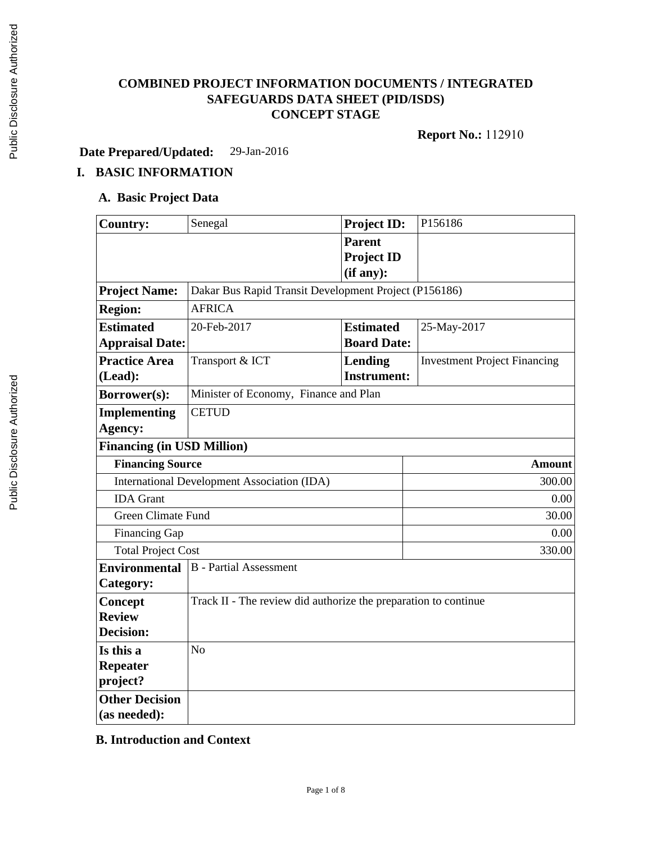# **COMBINED PROJECT INFORMATION DOCUMENTS / INTEGRATED SAFEGUARDS DATA SHEET (PID/ISDS) CONCEPT STAGE**

**Report No.:** 112910

**Date Prepared/Updated:** 29-Jan-2016

# **I. BASIC INFORMATION**

#### **A. Basic Project Data**

| <b>Country:</b>                             | Senegal                                                         | Project ID:        | P156186                             |  |  |
|---------------------------------------------|-----------------------------------------------------------------|--------------------|-------------------------------------|--|--|
|                                             |                                                                 | <b>Parent</b>      |                                     |  |  |
|                                             |                                                                 | <b>Project ID</b>  |                                     |  |  |
|                                             |                                                                 | (if any):          |                                     |  |  |
| <b>Project Name:</b>                        | Dakar Bus Rapid Transit Development Project (P156186)           |                    |                                     |  |  |
| <b>Region:</b>                              | <b>AFRICA</b>                                                   |                    |                                     |  |  |
| <b>Estimated</b>                            | 20-Feb-2017                                                     | <b>Estimated</b>   | 25-May-2017                         |  |  |
| <b>Appraisal Date:</b>                      |                                                                 | <b>Board Date:</b> |                                     |  |  |
| <b>Practice Area</b>                        | Transport & ICT                                                 | Lending            | <b>Investment Project Financing</b> |  |  |
| (Lead):                                     |                                                                 | <b>Instrument:</b> |                                     |  |  |
| Borrower(s):                                | Minister of Economy, Finance and Plan                           |                    |                                     |  |  |
| <b>Implementing</b>                         | <b>CETUD</b>                                                    |                    |                                     |  |  |
| Agency:                                     |                                                                 |                    |                                     |  |  |
| <b>Financing (in USD Million)</b>           |                                                                 |                    |                                     |  |  |
| <b>Financing Source</b>                     |                                                                 |                    | <b>Amount</b>                       |  |  |
| International Development Association (IDA) |                                                                 |                    | 300.00                              |  |  |
| <b>IDA</b> Grant                            |                                                                 |                    | 0.00                                |  |  |
| <b>Green Climate Fund</b>                   |                                                                 |                    | 30.00                               |  |  |
| Financing Gap                               |                                                                 |                    | 0.00                                |  |  |
| <b>Total Project Cost</b>                   |                                                                 |                    | 330.00                              |  |  |
| <b>Environmental</b>                        | <b>B</b> - Partial Assessment                                   |                    |                                     |  |  |
| Category:                                   |                                                                 |                    |                                     |  |  |
| <b>Concept</b>                              | Track II - The review did authorize the preparation to continue |                    |                                     |  |  |
| <b>Review</b>                               |                                                                 |                    |                                     |  |  |
| Decision:                                   |                                                                 |                    |                                     |  |  |
| Is this a                                   | N <sub>o</sub>                                                  |                    |                                     |  |  |
| <b>Repeater</b>                             |                                                                 |                    |                                     |  |  |
| project?                                    |                                                                 |                    |                                     |  |  |
| <b>Other Decision</b>                       |                                                                 |                    |                                     |  |  |
| (as needed):                                |                                                                 |                    |                                     |  |  |

### **B. Introduction and Context**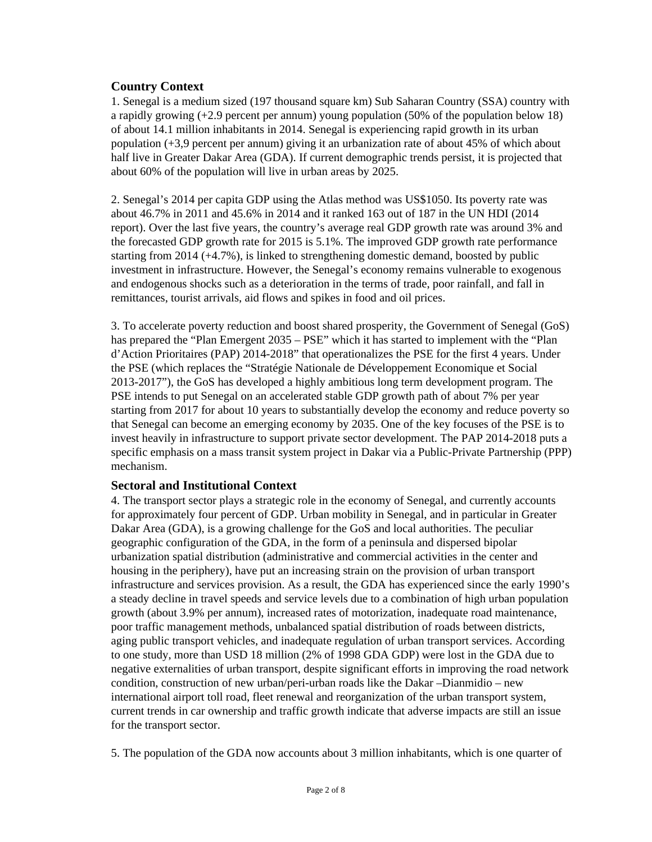### **Country Context**

1. Senegal is a medium sized (197 thousand square km) Sub Saharan Country (SSA) country with a rapidly growing (+2.9 percent per annum) young population (50% of the population below 18) of about 14.1 million inhabitants in 2014. Senegal is experiencing rapid growth in its urban population (+3,9 percent per annum) giving it an urbanization rate of about 45% of which about half live in Greater Dakar Area (GDA). If current demographic trends persist, it is projected that about 60% of the population will live in urban areas by 2025.

2. Senegal's 2014 per capita GDP using the Atlas method was US\$1050. Its poverty rate was about 46.7% in 2011 and 45.6% in 2014 and it ranked 163 out of 187 in the UN HDI (2014 report). Over the last five years, the country's average real GDP growth rate was around 3% and the forecasted GDP growth rate for 2015 is 5.1%. The improved GDP growth rate performance starting from 2014 (+4.7%), is linked to strengthening domestic demand, boosted by public investment in infrastructure. However, the Senegal's economy remains vulnerable to exogenous and endogenous shocks such as a deterioration in the terms of trade, poor rainfall, and fall in remittances, tourist arrivals, aid flows and spikes in food and oil prices.

3. To accelerate poverty reduction and boost shared prosperity, the Government of Senegal (GoS) has prepared the "Plan Emergent 2035 – PSE" which it has started to implement with the "Plan d'Action Prioritaires (PAP) 2014-2018" that operationalizes the PSE for the first 4 years. Under the PSE (which replaces the "Stratégie Nationale de Développement Economique et Social 2013-2017"), the GoS has developed a highly ambitious long term development program. The PSE intends to put Senegal on an accelerated stable GDP growth path of about 7% per year starting from 2017 for about 10 years to substantially develop the economy and reduce poverty so that Senegal can become an emerging economy by 2035. One of the key focuses of the PSE is to invest heavily in infrastructure to support private sector development. The PAP 2014-2018 puts a specific emphasis on a mass transit system project in Dakar via a Public-Private Partnership (PPP) mechanism.

### **Sectoral and Institutional Context**

4. The transport sector plays a strategic role in the economy of Senegal, and currently accounts for approximately four percent of GDP. Urban mobility in Senegal, and in particular in Greater Dakar Area (GDA), is a growing challenge for the GoS and local authorities. The peculiar geographic configuration of the GDA, in the form of a peninsula and dispersed bipolar urbanization spatial distribution (administrative and commercial activities in the center and housing in the periphery), have put an increasing strain on the provision of urban transport infrastructure and services provision. As a result, the GDA has experienced since the early 1990's a steady decline in travel speeds and service levels due to a combination of high urban population growth (about 3.9% per annum), increased rates of motorization, inadequate road maintenance, poor traffic management methods, unbalanced spatial distribution of roads between districts, aging public transport vehicles, and inadequate regulation of urban transport services. According to one study, more than USD 18 million (2% of 1998 GDA GDP) were lost in the GDA due to negative externalities of urban transport, despite significant efforts in improving the road network condition, construction of new urban/peri-urban roads like the Dakar –Dianmidio – new international airport toll road, fleet renewal and reorganization of the urban transport system, current trends in car ownership and traffic growth indicate that adverse impacts are still an issue for the transport sector.

5. The population of the GDA now accounts about 3 million inhabitants, which is one quarter of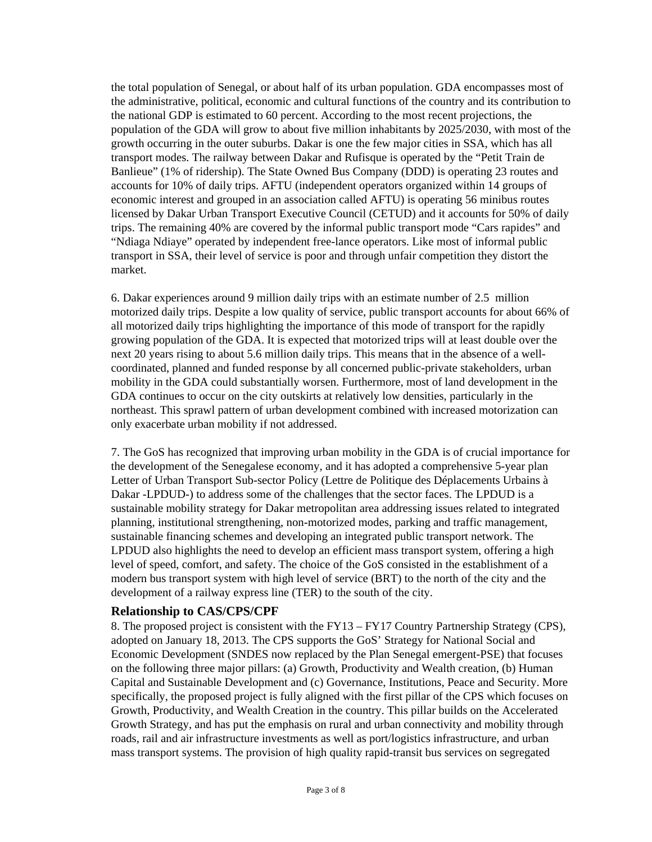the total population of Senegal, or about half of its urban population. GDA encompasses most of the administrative, political, economic and cultural functions of the country and its contribution to the national GDP is estimated to 60 percent. According to the most recent projections, the population of the GDA will grow to about five million inhabitants by 2025/2030, with most of the growth occurring in the outer suburbs. Dakar is one the few major cities in SSA, which has all transport modes. The railway between Dakar and Rufisque is operated by the "Petit Train de Banlieue" (1% of ridership). The State Owned Bus Company (DDD) is operating 23 routes and accounts for 10% of daily trips. AFTU (independent operators organized within 14 groups of economic interest and grouped in an association called AFTU) is operating 56 minibus routes licensed by Dakar Urban Transport Executive Council (CETUD) and it accounts for 50% of daily trips. The remaining 40% are covered by the informal public transport mode "Cars rapides" and "Ndiaga Ndiaye" operated by independent free-lance operators. Like most of informal public transport in SSA, their level of service is poor and through unfair competition they distort the market.

6. Dakar experiences around 9 million daily trips with an estimate number of 2.5 million motorized daily trips. Despite a low quality of service, public transport accounts for about 66% of all motorized daily trips highlighting the importance of this mode of transport for the rapidly growing population of the GDA. It is expected that motorized trips will at least double over the next 20 years rising to about 5.6 million daily trips. This means that in the absence of a wellcoordinated, planned and funded response by all concerned public-private stakeholders, urban mobility in the GDA could substantially worsen. Furthermore, most of land development in the GDA continues to occur on the city outskirts at relatively low densities, particularly in the northeast. This sprawl pattern of urban development combined with increased motorization can only exacerbate urban mobility if not addressed.

7. The GoS has recognized that improving urban mobility in the GDA is of crucial importance for the development of the Senegalese economy, and it has adopted a comprehensive 5-year plan Letter of Urban Transport Sub-sector Policy (Lettre de Politique des Déplacements Urbains à Dakar -LPDUD-) to address some of the challenges that the sector faces. The LPDUD is a sustainable mobility strategy for Dakar metropolitan area addressing issues related to integrated planning, institutional strengthening, non-motorized modes, parking and traffic management, sustainable financing schemes and developing an integrated public transport network. The LPDUD also highlights the need to develop an efficient mass transport system, offering a high level of speed, comfort, and safety. The choice of the GoS consisted in the establishment of a modern bus transport system with high level of service (BRT) to the north of the city and the development of a railway express line (TER) to the south of the city.

#### **Relationship to CAS/CPS/CPF**

8. The proposed project is consistent with the FY13 – FY17 Country Partnership Strategy (CPS), adopted on January 18, 2013. The CPS supports the GoS' Strategy for National Social and Economic Development (SNDES now replaced by the Plan Senegal emergent-PSE) that focuses on the following three major pillars: (a) Growth, Productivity and Wealth creation, (b) Human Capital and Sustainable Development and (c) Governance, Institutions, Peace and Security. More specifically, the proposed project is fully aligned with the first pillar of the CPS which focuses on Growth, Productivity, and Wealth Creation in the country. This pillar builds on the Accelerated Growth Strategy, and has put the emphasis on rural and urban connectivity and mobility through roads, rail and air infrastructure investments as well as port/logistics infrastructure, and urban mass transport systems. The provision of high quality rapid-transit bus services on segregated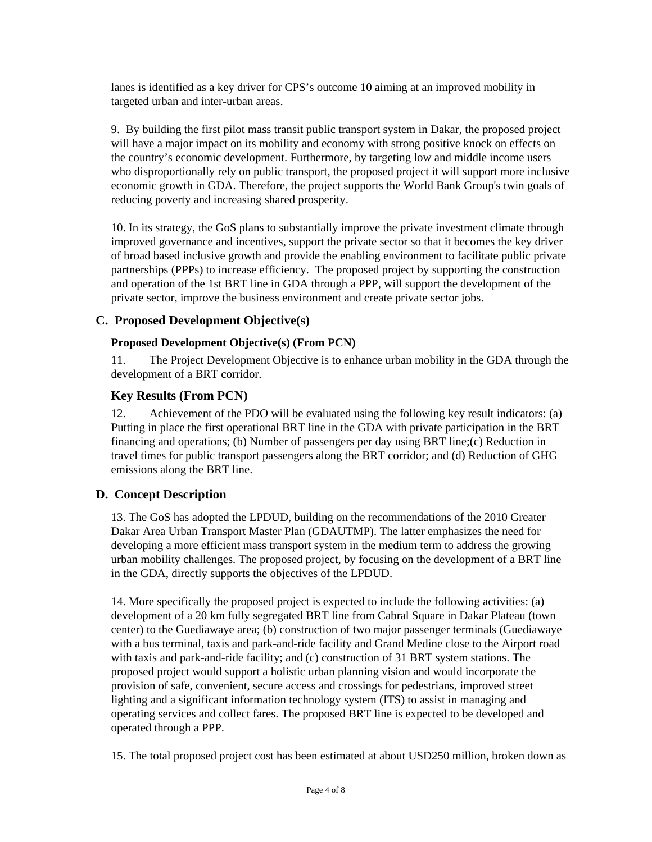lanes is identified as a key driver for CPS's outcome 10 aiming at an improved mobility in targeted urban and inter-urban areas.

9. By building the first pilot mass transit public transport system in Dakar, the proposed project will have a major impact on its mobility and economy with strong positive knock on effects on the country's economic development. Furthermore, by targeting low and middle income users who disproportionally rely on public transport, the proposed project it will support more inclusive economic growth in GDA. Therefore, the project supports the World Bank Group's twin goals of reducing poverty and increasing shared prosperity.

10. In its strategy, the GoS plans to substantially improve the private investment climate through improved governance and incentives, support the private sector so that it becomes the key driver of broad based inclusive growth and provide the enabling environment to facilitate public private partnerships (PPPs) to increase efficiency. The proposed project by supporting the construction and operation of the 1st BRT line in GDA through a PPP, will support the development of the private sector, improve the business environment and create private sector jobs.

### **C. Proposed Development Objective(s)**

#### **Proposed Development Objective(s) (From PCN)**

11. The Project Development Objective is to enhance urban mobility in the GDA through the development of a BRT corridor.

#### **Key Results (From PCN)**

12. Achievement of the PDO will be evaluated using the following key result indicators: (a) Putting in place the first operational BRT line in the GDA with private participation in the BRT financing and operations; (b) Number of passengers per day using BRT line;(c) Reduction in travel times for public transport passengers along the BRT corridor; and (d) Reduction of GHG emissions along the BRT line.

### **D. Concept Description**

13. The GoS has adopted the LPDUD, building on the recommendations of the 2010 Greater Dakar Area Urban Transport Master Plan (GDAUTMP). The latter emphasizes the need for developing a more efficient mass transport system in the medium term to address the growing urban mobility challenges. The proposed project, by focusing on the development of a BRT line in the GDA, directly supports the objectives of the LPDUD.

14. More specifically the proposed project is expected to include the following activities: (a) development of a 20 km fully segregated BRT line from Cabral Square in Dakar Plateau (town center) to the Guediawaye area; (b) construction of two major passenger terminals (Guediawaye with a bus terminal, taxis and park-and-ride facility and Grand Medine close to the Airport road with taxis and park-and-ride facility; and (c) construction of 31 BRT system stations. The proposed project would support a holistic urban planning vision and would incorporate the provision of safe, convenient, secure access and crossings for pedestrians, improved street lighting and a significant information technology system (ITS) to assist in managing and operating services and collect fares. The proposed BRT line is expected to be developed and operated through a PPP.

15. The total proposed project cost has been estimated at about USD250 million, broken down as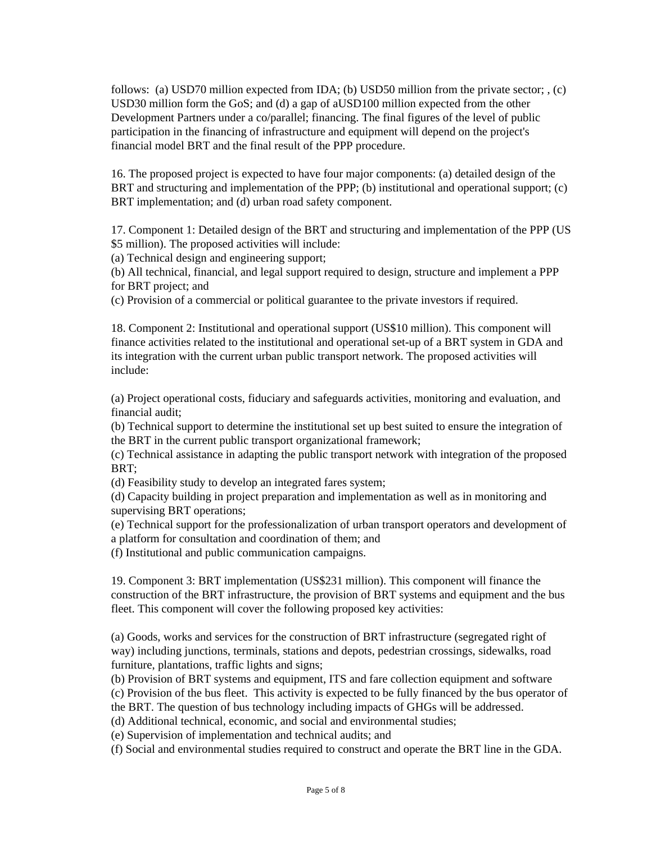follows: (a) USD70 million expected from IDA; (b) USD50 million from the private sector; , (c) USD30 million form the GoS; and (d) a gap of aUSD100 million expected from the other Development Partners under a co/parallel; financing. The final figures of the level of public participation in the financing of infrastructure and equipment will depend on the project's financial model BRT and the final result of the PPP procedure.

16. The proposed project is expected to have four major components: (a) detailed design of the BRT and structuring and implementation of the PPP; (b) institutional and operational support; (c) BRT implementation; and (d) urban road safety component.

17. Component 1: Detailed design of the BRT and structuring and implementation of the PPP (US \$5 million). The proposed activities will include:

(a) Technical design and engineering support;

(b) All technical, financial, and legal support required to design, structure and implement a PPP for BRT project; and

(c) Provision of a commercial or political guarantee to the private investors if required.

18. Component 2: Institutional and operational support (US\$10 million). This component will finance activities related to the institutional and operational set-up of a BRT system in GDA and its integration with the current urban public transport network. The proposed activities will include:

(a) Project operational costs, fiduciary and safeguards activities, monitoring and evaluation, and financial audit;

(b) Technical support to determine the institutional set up best suited to ensure the integration of the BRT in the current public transport organizational framework;

(c) Technical assistance in adapting the public transport network with integration of the proposed BRT;

(d) Feasibility study to develop an integrated fares system;

(d) Capacity building in project preparation and implementation as well as in monitoring and supervising BRT operations;

(e) Technical support for the professionalization of urban transport operators and development of a platform for consultation and coordination of them; and

(f) Institutional and public communication campaigns.

19. Component 3: BRT implementation (US\$231 million). This component will finance the construction of the BRT infrastructure, the provision of BRT systems and equipment and the bus fleet. This component will cover the following proposed key activities:

(a) Goods, works and services for the construction of BRT infrastructure (segregated right of way) including junctions, terminals, stations and depots, pedestrian crossings, sidewalks, road furniture, plantations, traffic lights and signs;

(b) Provision of BRT systems and equipment, ITS and fare collection equipment and software (c) Provision of the bus fleet. This activity is expected to be fully financed by the bus operator of the BRT. The question of bus technology including impacts of GHGs will be addressed.

(d) Additional technical, economic, and social and environmental studies;

(e) Supervision of implementation and technical audits; and

(f) Social and environmental studies required to construct and operate the BRT line in the GDA.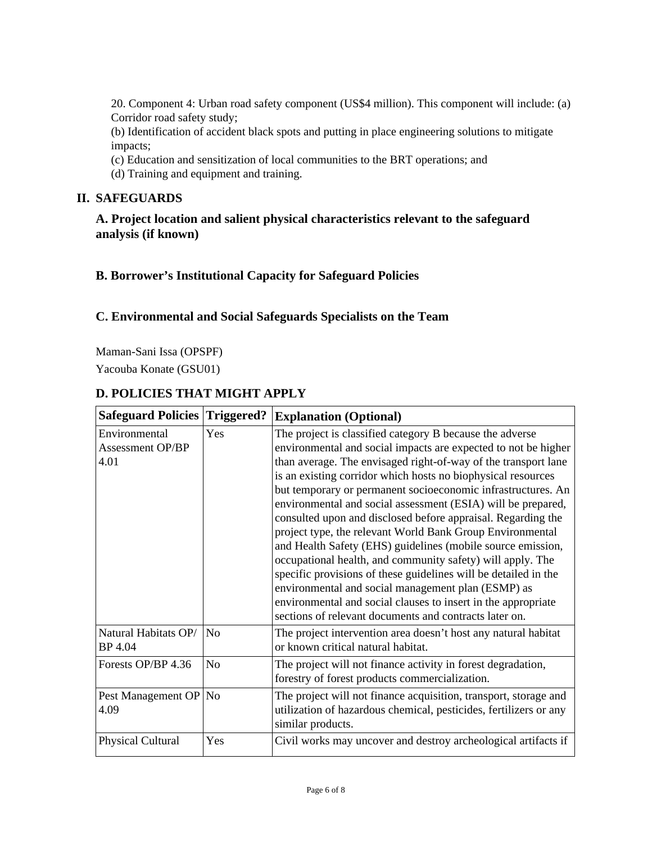20. Component 4: Urban road safety component (US\$4 million). This component will include: (a) Corridor road safety study;

(b) Identification of accident black spots and putting in place engineering solutions to mitigate impacts;

- (c) Education and sensitization of local communities to the BRT operations; and
- (d) Training and equipment and training.

### **II. SAFEGUARDS**

**A. Project location and salient physical characteristics relevant to the safeguard analysis (if known)**

### **B. Borrower's Institutional Capacity for Safeguard Policies**

### **C. Environmental and Social Safeguards Specialists on the Team**

Maman-Sani Issa (OPSPF)

Yacouba Konate (GSU01)

# **D. POLICIES THAT MIGHT APPLY**

| <b>Safeguard Policies Triggered?</b>             |                | <b>Explanation (Optional)</b>                                                                                                                                                                                                                                                                                                                                                                                                                                                                                                                                                                                                                                                                                                                                                                                                                                                                              |  |
|--------------------------------------------------|----------------|------------------------------------------------------------------------------------------------------------------------------------------------------------------------------------------------------------------------------------------------------------------------------------------------------------------------------------------------------------------------------------------------------------------------------------------------------------------------------------------------------------------------------------------------------------------------------------------------------------------------------------------------------------------------------------------------------------------------------------------------------------------------------------------------------------------------------------------------------------------------------------------------------------|--|
| Environmental<br><b>Assessment OP/BP</b><br>4.01 | Yes            | The project is classified category B because the adverse<br>environmental and social impacts are expected to not be higher<br>than average. The envisaged right-of-way of the transport lane<br>is an existing corridor which hosts no biophysical resources<br>but temporary or permanent socioeconomic infrastructures. An<br>environmental and social assessment (ESIA) will be prepared,<br>consulted upon and disclosed before appraisal. Regarding the<br>project type, the relevant World Bank Group Environmental<br>and Health Safety (EHS) guidelines (mobile source emission,<br>occupational health, and community safety) will apply. The<br>specific provisions of these guidelines will be detailed in the<br>environmental and social management plan (ESMP) as<br>environmental and social clauses to insert in the appropriate<br>sections of relevant documents and contracts later on. |  |
| Natural Habitats OP/<br>BP 4.04                  | N <sub>0</sub> | The project intervention area doesn't host any natural habitat<br>or known critical natural habitat.                                                                                                                                                                                                                                                                                                                                                                                                                                                                                                                                                                                                                                                                                                                                                                                                       |  |
| Forests OP/BP 4.36                               | N <sub>o</sub> | The project will not finance activity in forest degradation,<br>forestry of forest products commercialization.                                                                                                                                                                                                                                                                                                                                                                                                                                                                                                                                                                                                                                                                                                                                                                                             |  |
| Pest Management OP No<br>4.09                    |                | The project will not finance acquisition, transport, storage and<br>utilization of hazardous chemical, pesticides, fertilizers or any<br>similar products.                                                                                                                                                                                                                                                                                                                                                                                                                                                                                                                                                                                                                                                                                                                                                 |  |
| Physical Cultural                                | Yes            | Civil works may uncover and destroy archeological artifacts if                                                                                                                                                                                                                                                                                                                                                                                                                                                                                                                                                                                                                                                                                                                                                                                                                                             |  |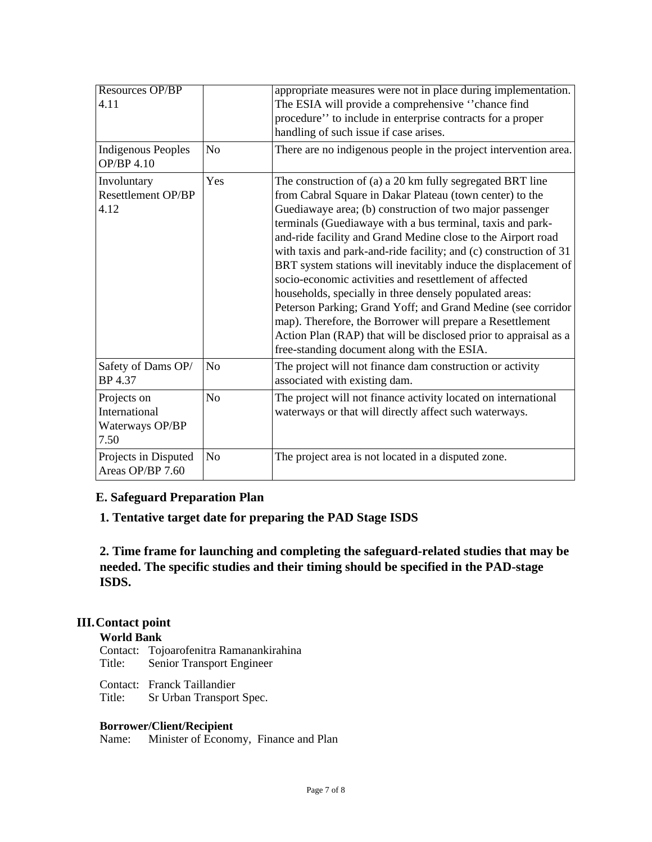| Resources OP/BP<br>4.11<br><b>Indigenous Peoples</b><br><b>OP/BP 4.10</b> | N <sub>0</sub> | appropriate measures were not in place during implementation.<br>The ESIA will provide a comprehensive "chance find<br>procedure" to include in enterprise contracts for a proper<br>handling of such issue if case arises.<br>There are no indigenous people in the project intervention area.                                                                                                                                                                                                                                                                                                                                                                                                                                                                                                                             |
|---------------------------------------------------------------------------|----------------|-----------------------------------------------------------------------------------------------------------------------------------------------------------------------------------------------------------------------------------------------------------------------------------------------------------------------------------------------------------------------------------------------------------------------------------------------------------------------------------------------------------------------------------------------------------------------------------------------------------------------------------------------------------------------------------------------------------------------------------------------------------------------------------------------------------------------------|
| Involuntary<br><b>Resettlement OP/BP</b><br>4.12                          | Yes            | The construction of (a) a 20 km fully segregated BRT line<br>from Cabral Square in Dakar Plateau (town center) to the<br>Guediawaye area; (b) construction of two major passenger<br>terminals (Guediawaye with a bus terminal, taxis and park-<br>and-ride facility and Grand Medine close to the Airport road<br>with taxis and park-and-ride facility; and (c) construction of 31<br>BRT system stations will inevitably induce the displacement of<br>socio-economic activities and resettlement of affected<br>households, specially in three densely populated areas:<br>Peterson Parking; Grand Yoff; and Grand Medine (see corridor<br>map). Therefore, the Borrower will prepare a Resettlement<br>Action Plan (RAP) that will be disclosed prior to appraisal as a<br>free-standing document along with the ESIA. |
| Safety of Dams OP/<br>BP 4.37                                             | N <sub>o</sub> | The project will not finance dam construction or activity<br>associated with existing dam.                                                                                                                                                                                                                                                                                                                                                                                                                                                                                                                                                                                                                                                                                                                                  |
| Projects on<br>International<br>Waterways OP/BP<br>7.50                   | N <sub>o</sub> | The project will not finance activity located on international<br>waterways or that will directly affect such waterways.                                                                                                                                                                                                                                                                                                                                                                                                                                                                                                                                                                                                                                                                                                    |
| Projects in Disputed<br>Areas OP/BP 7.60                                  | N <sub>o</sub> | The project area is not located in a disputed zone.                                                                                                                                                                                                                                                                                                                                                                                                                                                                                                                                                                                                                                                                                                                                                                         |

### **E. Safeguard Preparation Plan**

### **1. Tentative target date for preparing the PAD Stage ISDS**

**2. Time frame for launching and completing the safeguard-related studies that may be needed. The specific studies and their timing should be specified in the PAD-stage ISDS.**

### **III.Contact point**

### **World Bank**

Contact: Tojoarofenitra Ramanankirahina Title: Senior Transport Engineer

Contact: Franck Taillandier

Title: Sr Urban Transport Spec.

### **Borrower/Client/Recipient**

Name: Minister of Economy, Finance and Plan